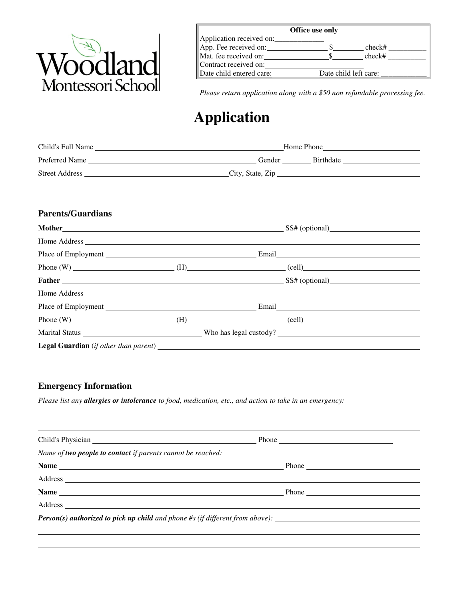

|          | Office use only                                   |  |  |  |  |
|----------|---------------------------------------------------|--|--|--|--|
|          | Application received on:                          |  |  |  |  |
|          | App. Fee received on:<br>check#                   |  |  |  |  |
|          | Mat. fee received on:<br>check#                   |  |  |  |  |
| Voodland | Contract received on:                             |  |  |  |  |
|          | Date child entered care:<br>Date child left care: |  |  |  |  |

*Please return application along with a \$50 non refundable processing fee.* 

# **Application**

| Child's Full Name     | Home Phone                 |
|-----------------------|----------------------------|
| Preferred Name        | <b>Birthdate</b><br>Gender |
| <b>Street Address</b> | City, State, Zip           |

## **Parents/Guardians**

|  | <b>Father SET ACCESS</b> Extended A SET AND SET AND SET AND SET AND SET AND SET AND SET AND SET AND SET AND SET AND SET AND SET AND SET AND SET AND SET AND SET AND SET AND SET AND SET AND SET AND SET AND SET AND SET AND SET AND |
|--|-------------------------------------------------------------------------------------------------------------------------------------------------------------------------------------------------------------------------------------|
|  |                                                                                                                                                                                                                                     |
|  |                                                                                                                                                                                                                                     |
|  |                                                                                                                                                                                                                                     |
|  |                                                                                                                                                                                                                                     |
|  |                                                                                                                                                                                                                                     |

## **Emergency Information**

l

*Please list any allergies or intolerance to food, medication, etc., and action to take in an emergency:* 

| Name of two people to contact if parents cannot be reached:                          |               |  |
|--------------------------------------------------------------------------------------|---------------|--|
|                                                                                      |               |  |
|                                                                                      |               |  |
|                                                                                      | $-$ Phone $-$ |  |
|                                                                                      |               |  |
| <b>Person(s) authorized to pick up child</b> and phone #s (if different from above): |               |  |